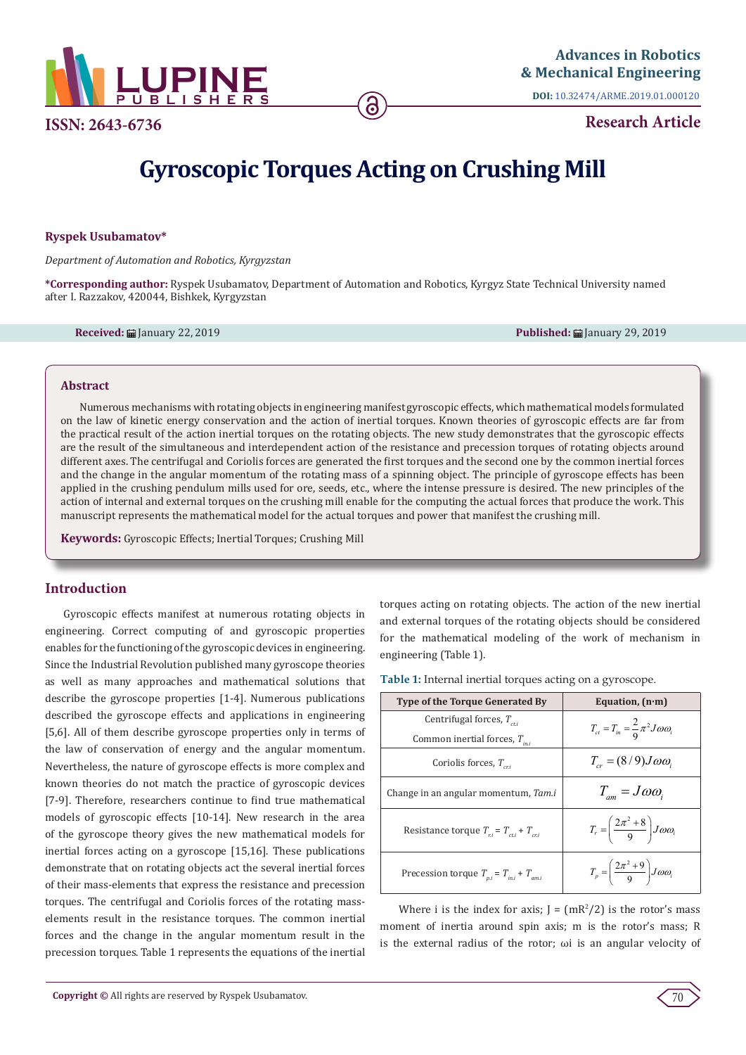

**ISSN: 2643-6736**

**DOI:** [10.32474/ARME.2019.01.000120](http://dx.doi.org/10.32474/ARME.2019.01.000120)

**Research Article**

# **Gyroscopic Torques Acting on Crushing Mill**

#### **Ryspek Usubamatov\***

*Department of Automation and Robotics, Kyrgyzstan*

**\*Corresponding author:** Ryspek Usubamatov, Department of Automation and Robotics, Kyrgyz State Technical University named after I. Razzakov, 420044, Bishkek, Kyrgyzstan

**Received:** January 22, 2019 **Published:** January 29, 2019

#### **Abstract**

Numerous mechanisms with rotating objects in engineering manifest gyroscopic effects, which mathematical models formulated on the law of kinetic energy conservation and the action of inertial torques. Known theories of gyroscopic effects are far from the practical result of the action inertial torques on the rotating objects. The new study demonstrates that the gyroscopic effects are the result of the simultaneous and interdependent action of the resistance and precession torques of rotating objects around different axes. The centrifugal and Coriolis forces are generated the first torques and the second one by the common inertial forces and the change in the angular momentum of the rotating mass of a spinning object. The principle of gyroscope effects has been applied in the crushing pendulum mills used for ore, seeds, etc., where the intense pressure is desired. The new principles of the action of internal and external torques on the crushing mill enable for the computing the actual forces that produce the work. This manuscript represents the mathematical model for the actual torques and power that manifest the crushing mill.

**Keywords:** Gyroscopic Effects; Inertial Torques; Crushing Mill

## **Introduction**

Gyroscopic effects manifest at numerous rotating objects in engineering. Correct computing of and gyroscopic properties enables for the functioning of the gyroscopic devices in engineering. Since the Industrial Revolution published many gyroscope theories as well as many approaches and mathematical solutions that describe the gyroscope properties [1-4]. Numerous publications described the gyroscope effects and applications in engineering [5,6]. All of them describe gyroscope properties only in terms of the law of conservation of energy and the angular momentum. Nevertheless, the nature of gyroscope effects is more complex and known theories do not match the practice of gyroscopic devices [7-9]. Therefore, researchers continue to find true mathematical models of gyroscopic effects [10-14]. New research in the area of the gyroscope theory gives the new mathematical models for inertial forces acting on a gyroscope [15,16]. These publications demonstrate that on rotating objects act the several inertial forces of their mass-elements that express the resistance and precession torques. The centrifugal and Coriolis forces of the rotating masselements result in the resistance torques. The common inertial forces and the change in the angular momentum result in the precession torques. Table 1 represents the equations of the inertial torques acting on rotating objects. The action of the new inertial and external torques of the rotating objects should be considered for the mathematical modeling of the work of mechanism in engineering (Table 1).

**Table 1:** Internal inertial torques acting on a gyroscope.

| <b>Type of the Torque Generated By</b>         | Equation, $(n \cdot m)$                                                |
|------------------------------------------------|------------------------------------------------------------------------|
| Centrifugal forces, $T_{\text{crit}}$          | $T_{ct} = T_{in} = \frac{2}{9} \pi^2 J \omega \omega_i$                |
| Common inertial forces, $T_{ini}$              |                                                                        |
| Coriolis forces, $T_{cri}$                     | $T_{cr} = (8/9)J\omega\omega_i$                                        |
| Change in an angular momentum, Tam.i           | $T_{\scriptscriptstyle{am}} = J \omega \omega_{\scriptscriptstyle{i}}$ |
| Resistance torque $T_{ri} = T_{cri} + T_{cri}$ | $T_r = \left(\frac{2\pi^2 + 8}{9}\right) J \omega \omega_i$            |
| Precession torque $T_{pi} = T_{ini} + T_{ami}$ | $T_p = \left(\frac{2\pi^2 + 9}{9}\right) J \omega \omega_i$            |

Where i is the index for axis;  $J = (mR^2/2)$  is the rotor's mass moment of inertia around spin axis; m is the rotor's mass; R is the external radius of the rotor; ωi is an angular velocity of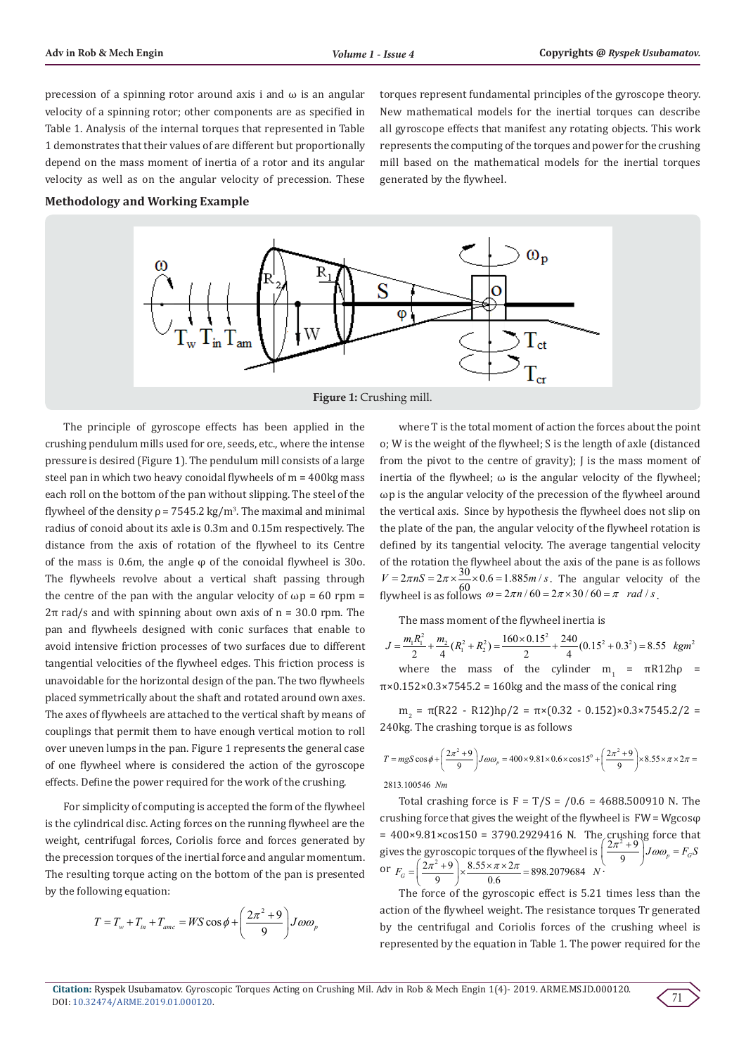precession of a spinning rotor around axis i and  $\omega$  is an angular velocity of a spinning rotor; other components are as specified in Table 1. Analysis of the internal torques that represented in Table 1 demonstrates that their values of are different but proportionally depend on the mass moment of inertia of a rotor and its angular velocity as well as on the angular velocity of precession. These

**Methodology and Working Example**

torques represent fundamental principles of the gyroscope theory. New mathematical models for the inertial torques can describe all gyroscope effects that manifest any rotating objects. This work represents the computing of the torques and power for the crushing mill based on the mathematical models for the inertial torques generated by the flywheel.





The principle of gyroscope effects has been applied in the crushing pendulum mills used for ore, seeds, etc., where the intense pressure is desired (Figure 1). The pendulum mill consists of a large steel pan in which two heavy conoidal flywheels of m = 400kg mass each roll on the bottom of the pan without slipping. The steel of the flywheel of the density  $\rho = 7545.2$  kg/m<sup>3</sup>. The maximal and minimal radius of conoid about its axle is 0.3m and 0.15m respectively. The distance from the axis of rotation of the flywheel to its Centre of the mass is 0.6m, the angle  $\varphi$  of the conoidal flywheel is 300. The flywheels revolve about a vertical shaft passing through the centre of the pan with the angular velocity of  $\omega$ p = 60 rpm =  $2\pi$  rad/s and with spinning about own axis of n = 30.0 rpm. The pan and flywheels designed with conic surfaces that enable to avoid intensive friction processes of two surfaces due to different tangential velocities of the flywheel edges. This friction process is unavoidable for the horizontal design of the pan. The two flywheels placed symmetrically about the shaft and rotated around own axes. The axes of flywheels are attached to the vertical shaft by means of couplings that permit them to have enough vertical motion to roll over uneven lumps in the pan. Figure 1 represents the general case of one flywheel where is considered the action of the gyroscope effects. Define the power required for the work of the crushing.

For simplicity of computing is accepted the form of the flywheel is the cylindrical disc. Acting forces on the running flywheel are the weight, centrifugal forces, Coriolis force and forces generated by the precession torques of the inertial force and angular momentum. The resulting torque acting on the bottom of the pan is presented by the following equation:

$$
T = T_w + T_m + T_{anc} = WS \cos \phi + \left(\frac{2\pi^2 + 9}{9}\right) J \omega \omega_p
$$

where T is the total moment of action the forces about the point o; W is the weight of the flywheel; S is the length of axle (distanced from the pivot to the centre of gravity); J is the mass moment of inertia of the flywheel:  $\omega$  is the angular velocity of the flywheel: ωp is the angular velocity of the precession of the flywheel around the vertical axis. Since by hypothesis the flywheel does not slip on the plate of the pan, the angular velocity of the flywheel rotation is defined by its tangential velocity. The average tangential velocity of the rotation the flywheel about the axis of the pane is as follows  $V = 2\pi nS = 2\pi \times \frac{30}{60} \times 0.6 = 1.885 m/s$ . The angular velocity of the flywheel is as follows  $\omega = 2\pi n / 60 = 2\pi \times 30 / 60 = \pi$  *rad / s*.

The mass moment of the flywheel inertia is

$$
J = \frac{m_1 R_1^2}{2} + \frac{m_2}{4} (R_1^2 + R_2^2) = \frac{160 \times 0.15^2}{2} + \frac{240}{4} (0.15^2 + 0.3^2) = 8.55 \text{ kgm}^2
$$
  
where the mass of the cylinder  $m_1 = \pi R12h\rho$ 

 $\pi$ ×0.152×0.3×7545.2 = 160kg and the mass of the conical ring

 $m_2 = π(R22 - R12)$ hρ/2 =  $π × (0.32 - 0.152) × 0.3 × 7545.2/2$  = 240kg. The crashing torque is as follows

$$
T = mgS\cos\phi + \left(\frac{2\pi^2 + 9}{9}\right)J\omega\omega_p = 400 \times 9.81 \times 0.6 \times \cos 15^\circ + \left(\frac{2\pi^2 + 9}{9}\right) \times 8.55 \times \pi \times 2\pi =
$$

2813 100546 *. Nm*

Total crashing force is  $F = T/S = /0.6 = 4688.500910$  N. The crushing force that gives the weight of the flywheel is FW = Wgcosφ  $= 400 \times 9.81 \times \cos 150 = 3790.2929416$  N. The crushing force that gives the gyroscopic torques of the flywheel is  $\left(\frac{2\pi^2+9}{9}\right)^3 J \omega \omega_p = F_G S$ or  $F_G = \left(\frac{2\pi^2 + 9}{9}\right) \times \frac{8.55 \times \pi \times 2\pi}{0.6} = 898.2079684$  *N*.

The force of the gyroscopic effect is 5.21 times less than the action of the flywheel weight. The resistance torques Tr generated by the centrifugal and Coriolis forces of the crushing wheel is represented by the equation in Table 1. The power required for the

71